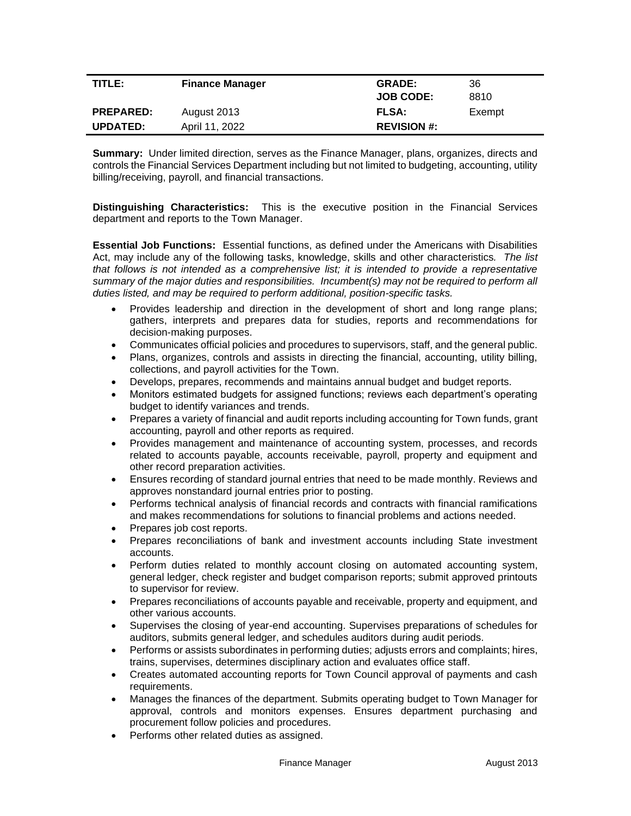| TITLE:           | <b>Finance Manager</b> | <b>GRADE:</b>      | 36     |
|------------------|------------------------|--------------------|--------|
|                  |                        | <b>JOB CODE:</b>   | 8810   |
| <b>PREPARED:</b> | August 2013            | <b>FLSA:</b>       | Exempt |
| <b>UPDATED:</b>  | April 11, 2022         | <b>REVISION #:</b> |        |

**Summary:** Under limited direction, serves as the Finance Manager, plans, organizes, directs and controls the Financial Services Department including but not limited to budgeting, accounting, utility billing/receiving, payroll, and financial transactions.

**Distinguishing Characteristics:** This is the executive position in the Financial Services department and reports to the Town Manager.

**Essential Job Functions:** Essential functions, as defined under the Americans with Disabilities Act, may include any of the following tasks, knowledge, skills and other characteristics*. The list that follows is not intended as a comprehensive list; it is intended to provide a representative summary of the major duties and responsibilities. Incumbent(s) may not be required to perform all duties listed, and may be required to perform additional, position-specific tasks.*

- Provides leadership and direction in the development of short and long range plans; gathers, interprets and prepares data for studies, reports and recommendations for decision-making purposes.
- Communicates official policies and procedures to supervisors, staff, and the general public.
- Plans, organizes, controls and assists in directing the financial, accounting, utility billing, collections, and payroll activities for the Town.
- Develops, prepares, recommends and maintains annual budget and budget reports.
- Monitors estimated budgets for assigned functions; reviews each department's operating budget to identify variances and trends.
- Prepares a variety of financial and audit reports including accounting for Town funds, grant accounting, payroll and other reports as required.
- Provides management and maintenance of accounting system, processes, and records related to accounts payable, accounts receivable, payroll, property and equipment and other record preparation activities.
- Ensures recording of standard journal entries that need to be made monthly. Reviews and approves nonstandard journal entries prior to posting.
- Performs technical analysis of financial records and contracts with financial ramifications and makes recommendations for solutions to financial problems and actions needed.
- Prepares job cost reports.
- Prepares reconciliations of bank and investment accounts including State investment accounts.
- Perform duties related to monthly account closing on automated accounting system, general ledger, check register and budget comparison reports; submit approved printouts to supervisor for review.
- Prepares reconciliations of accounts payable and receivable, property and equipment, and other various accounts.
- Supervises the closing of year-end accounting. Supervises preparations of schedules for auditors, submits general ledger, and schedules auditors during audit periods.
- Performs or assists subordinates in performing duties; adjusts errors and complaints; hires, trains, supervises, determines disciplinary action and evaluates office staff.
- Creates automated accounting reports for Town Council approval of payments and cash requirements.
- Manages the finances of the department. Submits operating budget to Town Manager for approval, controls and monitors expenses. Ensures department purchasing and procurement follow policies and procedures.
- Performs other related duties as assigned.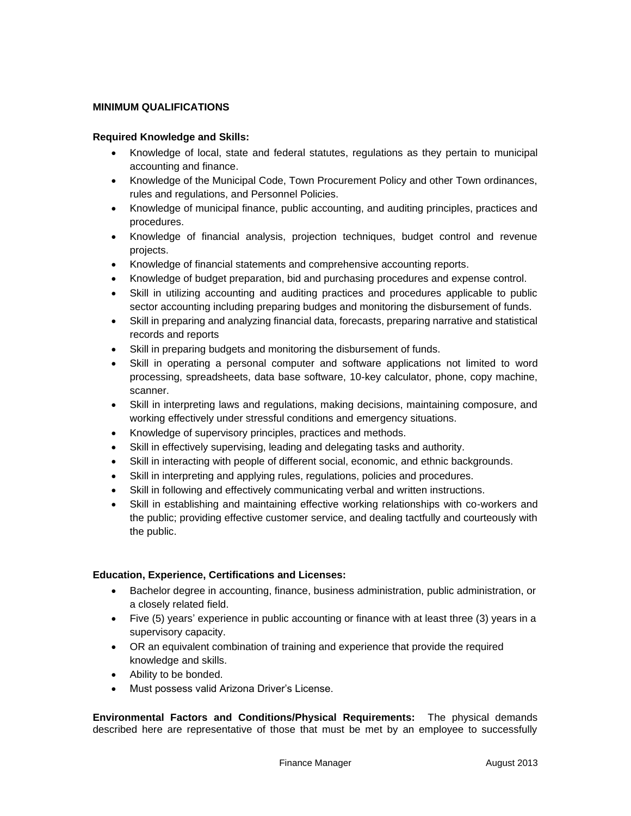## **MINIMUM QUALIFICATIONS**

## **Required Knowledge and Skills:**

- Knowledge of local, state and federal statutes, regulations as they pertain to municipal accounting and finance.
- Knowledge of the Municipal Code, Town Procurement Policy and other Town ordinances, rules and regulations, and Personnel Policies.
- Knowledge of municipal finance, public accounting, and auditing principles, practices and procedures.
- Knowledge of financial analysis, projection techniques, budget control and revenue projects.
- Knowledge of financial statements and comprehensive accounting reports.
- Knowledge of budget preparation, bid and purchasing procedures and expense control.
- Skill in utilizing accounting and auditing practices and procedures applicable to public sector accounting including preparing budges and monitoring the disbursement of funds.
- Skill in preparing and analyzing financial data, forecasts, preparing narrative and statistical records and reports
- Skill in preparing budgets and monitoring the disbursement of funds.
- Skill in operating a personal computer and software applications not limited to word processing, spreadsheets, data base software, 10-key calculator, phone, copy machine, scanner.
- Skill in interpreting laws and regulations, making decisions, maintaining composure, and working effectively under stressful conditions and emergency situations.
- Knowledge of supervisory principles, practices and methods.
- Skill in effectively supervising, leading and delegating tasks and authority.
- Skill in interacting with people of different social, economic, and ethnic backgrounds.
- Skill in interpreting and applying rules, regulations, policies and procedures.
- Skill in following and effectively communicating verbal and written instructions.
- Skill in establishing and maintaining effective working relationships with co-workers and the public; providing effective customer service, and dealing tactfully and courteously with the public.

## **Education, Experience, Certifications and Licenses:**

- Bachelor degree in accounting, finance, business administration, public administration, or a closely related field.
- Five (5) years' experience in public accounting or finance with at least three (3) years in a supervisory capacity.
- OR an equivalent combination of training and experience that provide the required knowledge and skills.
- Ability to be bonded.
- Must possess valid Arizona Driver's License.

**Environmental Factors and Conditions/Physical Requirements:** The physical demands described here are representative of those that must be met by an employee to successfully